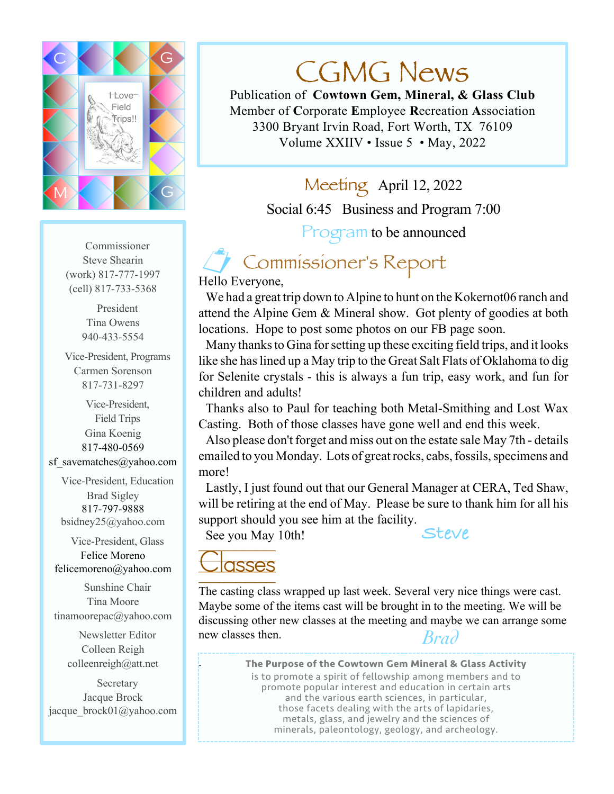

Commissioner Steve Shearin (work) 817-777-1997 (cell) 817-733-5368

> President Tina Owens 940-433-5554

Vice-President, Programs Carmen Sorenson 817-731-8297

Vice-President, Field Trips Gina Koenig 817-480-0569 sf savematches@yahoo.com

Vice-President, Education Brad Sigley 817-797-9888 bsidney25@yahoo.com

Vice-President, Glass Felice Moreno felicemoreno@yahoo.com

Sunshine Chair Tina Moore tinamoorepac@yahoo.com

> Newsletter Editor Colleen Reigh colleenreigh@att.net

**Secretary** Jacque Brock jacque\_brock01@yahoo.com

# CGMG News

Publication of **Cowtown Gem, Mineral, & Glass Club** Member of **C**orporate **E**mployee **R**ecreation **A**ssociation 3300 Bryant Irvin Road, Fort Worth, TX 76109 Volume XXIIV • Issue 5 • May, 2022

> Meeting April 12, 2022 Social 6:45 Business and Program 7:00 Program to be announced

## ! Commissioner's Report

Hello Everyone,

We had a great trip down to Alpine to hunt on the Kokernot06 ranch and attend the Alpine Gem & Mineral show. Got plenty of goodies at both locations. Hope to post some photos on our FB page soon.

Many thanksto Gina forsetting up these exciting field trips, and it looks like she has lined up a May trip to the Great Salt Flats of Oklahoma to dig for Selenite crystals - this is always a fun trip, easy work, and fun for children and adults!

Thanks also to Paul for teaching both Metal-Smithing and Lost Wax Casting. Both of those classes have gone well and end this week.

Also please don't forget and miss out on the estate sale May 7th - details emailed to you Monday. Lots of great rocks, cabs, fossils, specimens and more!

Lastly, I just found out that our General Manager at CERA, Ted Shaw, will be retiring at the end of May. Please be sure to thank him for all his support should you see him at the facility.

See you May 10th!

**Steve**

# **asses**

.

The casting class wrapped up last week. Several very nice things were cast. Maybe some of the items cast will be brought in to the meeting. We will be discussing other new classes at the meeting and maybe we can arrange some new classes then. *Brad*

> **The Purpose of the Cowtown Gem Mineral & Glass Activity** is to promote a spirit of fellowship among members and to promote popular interest and education in certain arts and the various earth sciences, in particular, those facets dealing with the arts of lapidaries, metals, glass, and jewelry and the sciences of minerals, paleontology, geology, and archeology.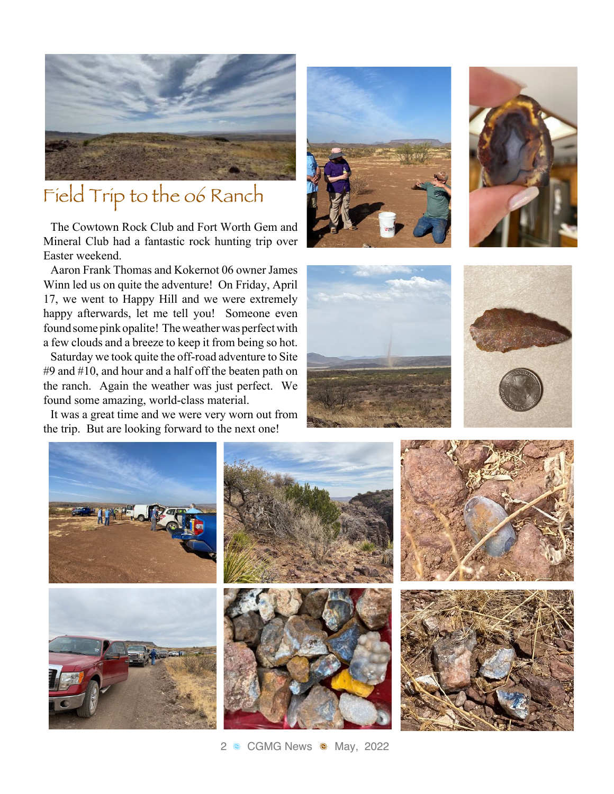

## Field Trip to the o6 Ranch

The Cowtown Rock Club and Fort Worth Gem and Mineral Club had a fantastic rock hunting trip over Easter weekend.

Aaron Frank Thomas and Kokernot 06 owner James Winn led us on quite the adventure! On Friday, April 17, we went to Happy Hill and we were extremely happy afterwards, let me tell you! Someone even found some pink opalite! The weather was perfect with a few clouds and a breeze to keep it from being so hot.

Saturday we took quite the off-road adventure to Site #9 and #10, and hour and a half off the beaten path on the ranch. Again the weather was just perfect. We found some amazing, world-class material.

It was a great time and we were very worn out from the trip. But are looking forward to the next one!











2 & CGMG News & May, 2022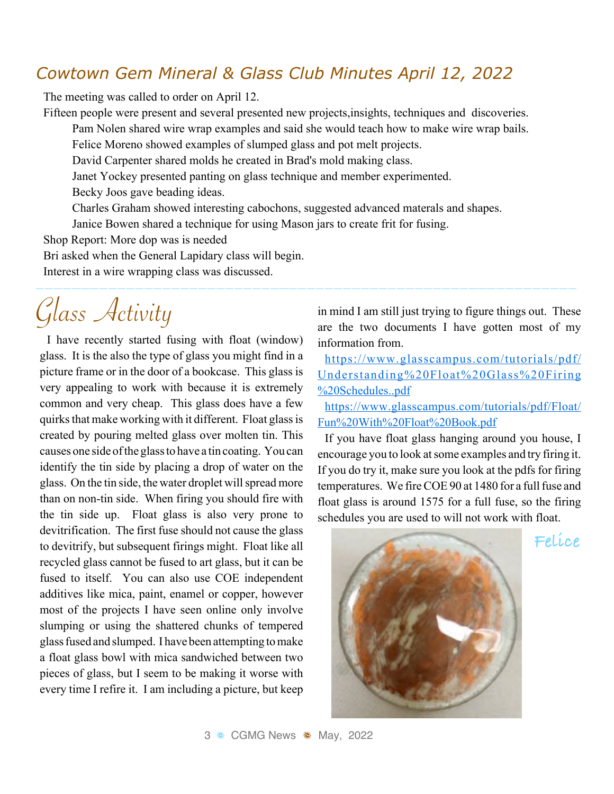## *Cowtown Gem Mineral & Glass Club Minutes April 12, 2022*

The meeting was called to order on April 12.

Fifteen people were present and several presented new projects,insights, techniques and discoveries.

Pam Nolen shared wire wrap examples and said she would teach how to make wire wrap bails.

Felice Moreno showed examples of slumped glass and pot melt projects.

David Carpenter shared molds he created in Brad's mold making class.

Janet Yockey presented panting on glass technique and member experimented.

Becky Joos gave beading ideas.

Charles Graham showed interesting cabochons, suggested advanced materals and shapes.

Janice Bowen shared a technique for using Mason jars to create frit for fusing.

Shop Report: More dop was is needed

Bri asked when the General Lapidary class will begin.

Interest in a wire wrapping class was discussed.

# Glass Activity

I have recently started fusing with float (window) glass. It is the also the type of glass you might find in a picture frame or in the door of a bookcase. This glass is very appealing to work with because it is extremely common and very cheap. This glass does have a few quirks that make working with it different. Float glass is created by pouring melted glass over molten tin. This causes one side ofthe glassto have a tin coating. You can identify the tin side by placing a drop of water on the glass. On the tin side, the water droplet will spread more than on non-tin side. When firing you should fire with the tin side up. Float glass is also very prone to devitrification. The first fuse should not cause the glass to devitrify, but subsequent firings might. Float like all recycled glass cannot be fused to art glass, but it can be fused to itself. You can also use COE independent additives like mica, paint, enamel or copper, however most of the projects I have seen online only involve slumping or using the shattered chunks of tempered glassfused and slumped. I have been attempting tomake a float glass bowl with mica sandwiched between two pieces of glass, but I seem to be making it worse with every time I refire it. I am including a picture, but keep

in mind I am still just trying to figure things out. These are the two documents I have gotten most of my information from.

https://www.glasscampus.com/tutorials/pdf/ Understanding%20Float%20Glass%20Firing %20Schedules..pdf

https://www.glasscampus.com/tutorials/pdf/Float/ Fun%20With%20Float%20Book.pdf

If you have float glass hanging around you house, I encourage you to look atsome examples and try firing it. If you do try it, make sure you look at the pdfs for firing temperatures. We fire COE 90 at 1480 for a full fuse and float glass is around 1575 for a full fuse, so the firing schedules you are used to will not work with float.



**Felice**